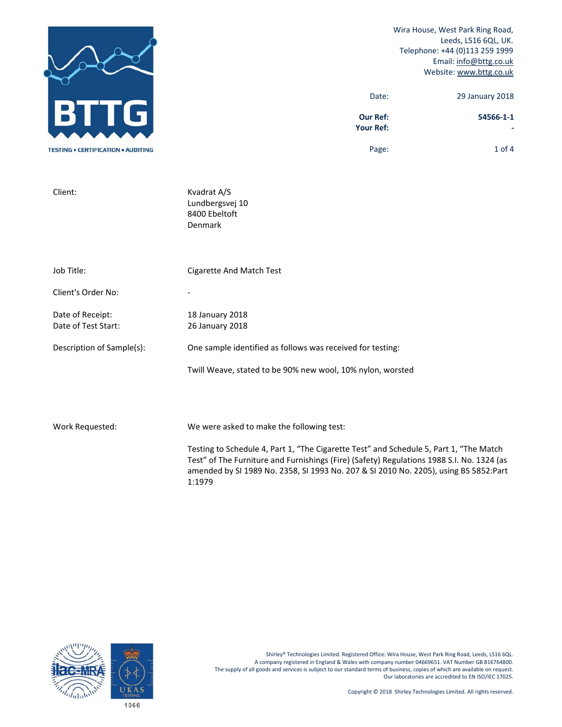

Client: Kvadrat A/S

Wira House, West Park Ring Road, Leeds, LS16 6QL, UK. Telephone: +44 (0)113 259 1999 Email: info@bttg.co.uk Website: www.bttg.co.uk

| 29 January 2018 | Date:                               |
|-----------------|-------------------------------------|
| 54566-1-1       | <b>Our Ref:</b><br><b>Your Ref:</b> |

Page: 1 of 4

 Lundbergsvej 10 8400 Ebeltoft Denmark Job Title: Cigarette And Match Test Client's Order No: Date of Receipt: 18 January 2018 Date of Test Start: 26 January 2018 Description of Sample(s): One sample identified as follows was received for testing: Twill Weave, stated to be 90% new wool, 10% nylon, worsted

Work Requested: We were asked to make the following test:

Testing to Schedule 4, Part 1, "The Cigarette Test" and Schedule 5, Part 1, "The Match Test" of The Furniture and Furnishings (Fire) (Safety) Regulations 1988 S.I. No. 1324 (as amended by SI 1989 No. 2358, SI 1993 No. 207 & SI 2010 No. 2205), using BS 5852:Part 1:1979

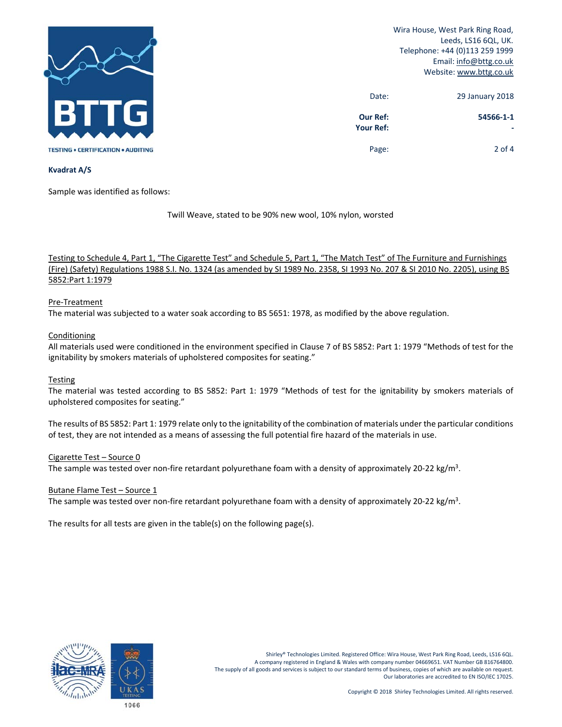

Wira House, West Park Ring Road, Leeds, LS16 6QL, UK. Telephone: +44 (0)113 259 1999 Email: info@bttg.co.uk Website: www.bttg.co.uk

| 29 January 2018 | Date:                               |
|-----------------|-------------------------------------|
| 54566-1-1       | <b>Our Ref:</b><br><b>Your Ref:</b> |
| $2$ of 4        | Page:                               |

## **Kvadrat A/S**

Sample was identified as follows:

Twill Weave, stated to be 90% new wool, 10% nylon, worsted

Testing to Schedule 4, Part 1, "The Cigarette Test" and Schedule 5, Part 1, "The Match Test" of The Furniture and Furnishings (Fire) (Safety) Regulations 1988 S.I. No. 1324 (as amended by SI 1989 No. 2358, SI 1993 No. 207 & SI 2010 No. 2205), using BS 5852:Part 1:1979

# Pre‐Treatment

The material was subjected to a water soak according to BS 5651: 1978, as modified by the above regulation.

# Conditioning

All materials used were conditioned in the environment specified in Clause 7 of BS 5852: Part 1: 1979 "Methods of test for the ignitability by smokers materials of upholstered composites for seating."

# Testing

The material was tested according to BS 5852: Part 1: 1979 "Methods of test for the ignitability by smokers materials of upholstered composites for seating."

The results of BS 5852: Part 1: 1979 relate only to the ignitability of the combination of materials under the particular conditions of test, they are not intended as a means of assessing the full potential fire hazard of the materials in use.

#### Cigarette Test – Source 0

The sample was tested over non-fire retardant polyurethane foam with a density of approximately 20-22 kg/m<sup>3</sup>.

#### Butane Flame Test – Source 1

The sample was tested over non-fire retardant polyurethane foam with a density of approximately 20-22 kg/m<sup>3</sup>.

The results for all tests are given in the table(s) on the following page(s).

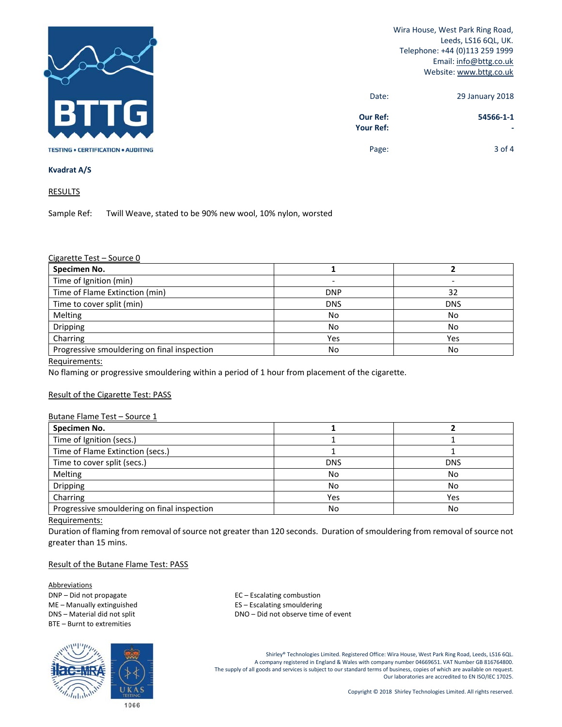

Wira House, West Park Ring Road, Leeds, LS16 6QL, UK. Telephone: +44 (0)113 259 1999 Email: info@bttg.co.uk Website: www.bttg.co.uk

| 29 January 2018 | Date:                               |
|-----------------|-------------------------------------|
| 54566-1-1       | <b>Our Ref:</b><br><b>Your Ref:</b> |
| $3$ of 4        | Page:                               |

## **Kvadrat A/S**

RESULTS

Sample Ref: Twill Weave, stated to be 90% new wool, 10% nylon, worsted

### Cigarette Test – Source 0

| Specimen No.                                |            |            |
|---------------------------------------------|------------|------------|
| Time of Ignition (min)                      |            |            |
| Time of Flame Extinction (min)              | <b>DNP</b> | 32         |
| Time to cover split (min)                   | <b>DNS</b> | <b>DNS</b> |
| Melting                                     | No         | No         |
| Dripping                                    | No         | No         |
| Charring                                    | Yes        | Yes        |
| Progressive smouldering on final inspection | No         | No         |

Requirements:

No flaming or progressive smouldering within a period of 1 hour from placement of the cigarette.

# Result of the Cigarette Test: PASS

#### Butane Flame Test – Source 1

| Specimen No.                                |            |            |
|---------------------------------------------|------------|------------|
| Time of Ignition (secs.)                    |            |            |
| Time of Flame Extinction (secs.)            |            |            |
| Time to cover split (secs.)                 | <b>DNS</b> | <b>DNS</b> |
| Melting                                     | No         | No         |
| Dripping                                    | No         | No         |
| Charring                                    | Yes        | Yes        |
| Progressive smouldering on final inspection | No         | No         |

#### Requirements:

Duration of flaming from removal of source not greater than 120 seconds. Duration of smouldering from removal of source not greater than 15 mins.

# Result of the Butane Flame Test: PASS

**Abbreviations** DNP – Did not propagate  $EC - E\text{scaling combustion}$ BTE – Burnt to extremities



ME – Manually extinguished **Source 20 Federal ES** – Escalating smouldering DNS – Material did not split **DNS** – DNO – Did not observe time of event